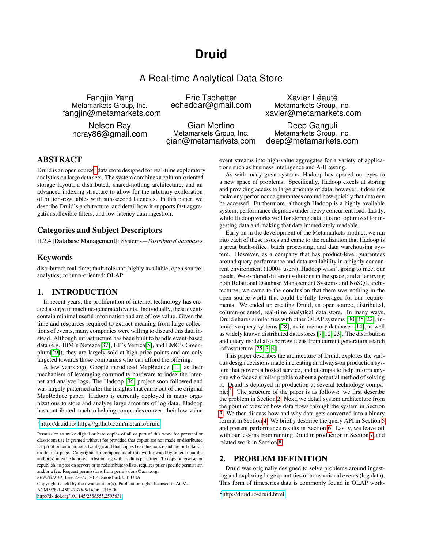# **Druid**

# A Real-time Analytical Data Store

Fangjin Yang Metamarkets Group, Inc. fangjin@metamarkets.com

Nelson Ray ncray86@gmail.com

Eric Tschetter echeddar@gmail.com

Gian Merlino Metamarkets Group, Inc. gian@metamarkets.com

Xavier Léauté Metamarkets Group, Inc. xavier@metamarkets.com

Deep Ganguli Metamarkets Group, Inc. deep@metamarkets.com

# ABSTRACT

Druid is an open source<sup>[1](#page-0-0)</sup> data store designed for real-time exploratory analytics on large data sets. The system combines a column-oriented storage layout, a distributed, shared-nothing architecture, and an advanced indexing structure to allow for the arbitrary exploration of billion-row tables with sub-second latencies. In this paper, we describe Druid's architecture, and detail how it supports fast aggregations, flexible filters, and low latency data ingestion.

# Categories and Subject Descriptors

H.2.4 [**Database Management**]: Systems—*Distributed databases*

# Keywords

distributed; real-time; fault-tolerant; highly available; open source; analytics; column-oriented; OLAP

# 1. INTRODUCTION

In recent years, the proliferation of internet technology has created a surge in machine-generated events. Individually, these events contain minimal useful information and are of low value. Given the time and resources required to extract meaning from large collections of events, many companies were willing to discard this data instead. Although infrastructure has been built to handle event-based data (e.g. IBM's Netezza[\[37\]](#page-11-0), HP's Vertica[\[5\]](#page-10-0), and EMC's Greenplum[\[29\]](#page-11-1)), they are largely sold at high price points and are only targeted towards those companies who can afford the offering.

A few years ago, Google introduced MapReduce [\[11\]](#page-10-1) as their mechanism of leveraging commodity hardware to index the internet and analyze logs. The Hadoop [\[36\]](#page-11-2) project soon followed and was largely patterned after the insights that came out of the original MapReduce paper. Hadoop is currently deployed in many organizations to store and analyze large amounts of log data. Hadoop has contributed much to helping companies convert their low-value

*SIGMOD'14,* June 22–27, 2014, Snowbird, UT, USA.

Copyright is held by the owner/author(s). Publication rights licensed to ACM.

ACM 978-1-4503-2376-5/14/06 ...\$15.00.

[http://dx.doi.org/10.1145/2588555.2595631.](http://dx.doi.org/10.1145/2588555.2595631)

event streams into high-value aggregates for a variety of applications such as business intelligence and A-B testing.

As with many great systems, Hadoop has opened our eyes to a new space of problems. Specifically, Hadoop excels at storing and providing access to large amounts of data, however, it does not make any performance guarantees around how quickly that data can be accessed. Furthermore, although Hadoop is a highly available system, performance degrades under heavy concurrent load. Lastly, while Hadoop works well for storing data, it is not optimized for ingesting data and making that data immediately readable.

Early on in the development of the Metamarkets product, we ran into each of these issues and came to the realization that Hadoop is a great back-office, batch processing, and data warehousing system. However, as a company that has product-level guarantees around query performance and data availability in a highly concurrent environment (1000+ users), Hadoop wasn't going to meet our needs. We explored different solutions in the space, and after trying both Relational Database Management Systems and NoSQL architectures, we came to the conclusion that there was nothing in the open source world that could be fully leveraged for our requirements. We ended up creating Druid, an open source, distributed, column-oriented, real-time analytical data store. In many ways, Druid shares similarities with other OLAP systems [\[30,](#page-11-3) [35,](#page-11-4) [22\]](#page-10-2), interactive query systems [\[28\]](#page-11-5), main-memory databases [\[14\]](#page-10-3), as well as widely known distributed data stores [\[7,](#page-10-4) [12,](#page-10-5) [23\]](#page-11-6). The distribution and query model also borrow ideas from current generation search infrastructure [\[25,](#page-11-7) [3,](#page-10-6) [4\]](#page-10-7).

This paper describes the architecture of Druid, explores the various design decisions made in creating an always-on production system that powers a hosted service, and attempts to help inform anyone who faces a similar problem about a potential method of solving it. Druid is deployed in production at several technology compa-nies<sup>[2](#page-0-1)</sup>. The structure of the paper is as follows: we first describe the problem in Section [2.](#page-0-2) Next, we detail system architecture from the point of view of how data flows through the system in Section [3.](#page-1-0) We then discuss how and why data gets converted into a binary format in Section [4.](#page-4-0) We briefly describe the query API in Section [5](#page-6-0) and present performance results in Section [6.](#page-6-1) Lastly, we leave off with our lessons from running Druid in production in Section [7,](#page-9-0) and related work in Section [8.](#page-9-1)

# <span id="page-0-2"></span>2. PROBLEM DEFINITION

Druid was originally designed to solve problems around ingesting and exploring large quantities of transactional events (log data). This form of timeseries data is commonly found in OLAP work-

<span id="page-0-0"></span><sup>&</sup>lt;sup>1</sup><http://druid.io/><https://github.com/metamx/druid>

Permission to make digital or hard copies of all or part of this work for personal or classroom use is granted without fee provided that copies are not made or distributed for profit or commercial advantage and that copies bear this notice and the full citation on the first page. Copyrights for components of this work owned by others than the author(s) must be honored. Abstracting with credit is permitted. To copy otherwise, or republish, to post on servers or to redistribute to lists, requires prior specific permission and/or a fee. Request permissions from permissions@acm.org.

<span id="page-0-1"></span><sup>&</sup>lt;sup>2</sup><http://druid.io/druid.html>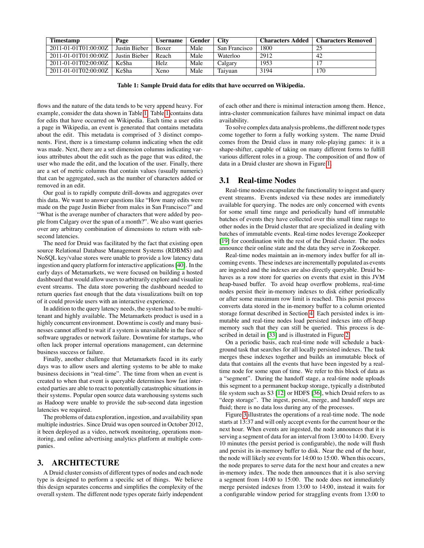| <b>Timestamp</b>     | Page          | Username     | Gender | <b>City</b>   | <b>Characters Added</b> | <b>Characters Removed</b> |
|----------------------|---------------|--------------|--------|---------------|-------------------------|---------------------------|
| 2011-01-01T01:00:00Z | Justin Bieber | <b>Boxer</b> | Male   | San Francisco | 1800                    |                           |
| 2011-01-01T01:00:00Z | Justin Bieber | Reach        | Male   | Waterloo      | 2912                    | 42                        |
| 2011-01-01T02:00:00Z | Ke\$ha        | Helz         | Male   | Calgary       | 1953                    |                           |
| 2011-01-01T02:00:00Z | Ke\$ha        | Xeno         | Male   | Taiyuan       | 3194                    | 170                       |

<span id="page-1-1"></span>**Table 1: Sample Druid data for edits that have occurred on Wikipedia.**

flows and the nature of the data tends to be very append heavy. For example, consider the data shown in Table [1.](#page-1-1) Table [1](#page-1-1) contains data for edits that have occurred on Wikipedia. Each time a user edits a page in Wikipedia, an event is generated that contains metadata about the edit. This metadata is comprised of 3 distinct components. First, there is a timestamp column indicating when the edit was made. Next, there are a set dimension columns indicating various attributes about the edit such as the page that was edited, the user who made the edit, and the location of the user. Finally, there are a set of metric columns that contain values (usually numeric) that can be aggregated, such as the number of characters added or removed in an edit.

Our goal is to rapidly compute drill-downs and aggregates over this data. We want to answer questions like "How many edits were made on the page Justin Bieber from males in San Francisco?" and "What is the average number of characters that were added by people from Calgary over the span of a month?". We also want queries over any arbitrary combination of dimensions to return with subsecond latencies.

The need for Druid was facilitated by the fact that existing open source Relational Database Management Systems (RDBMS) and NoSQL key/value stores were unable to provide a low latency data ingestion and query platform for interactive applications [\[40\]](#page-11-8). In the early days of Metamarkets, we were focused on building a hosted dashboard that would allow users to arbitrarily explore and visualize event streams. The data store powering the dashboard needed to return queries fast enough that the data visualizations built on top of it could provide users with an interactive experience.

In addition to the query latency needs, the system had to be multitenant and highly available. The Metamarkets product is used in a highly concurrent environment. Downtime is costly and many businesses cannot afford to wait if a system is unavailable in the face of software upgrades or network failure. Downtime for startups, who often lack proper internal operations management, can determine business success or failure.

Finally, another challenge that Metamarkets faced in its early days was to allow users and alerting systems to be able to make business decisions in "real-time". The time from when an event is created to when that event is queryable determines how fast interested parties are able to react to potentially catastrophic situations in their systems. Popular open source data warehousing systems such as Hadoop were unable to provide the sub-second data ingestion latencies we required.

The problems of data exploration, ingestion, and availability span multiple industries. Since Druid was open sourced in October 2012, it been deployed as a video, network monitoring, operations monitoring, and online advertising analytics platform at multiple companies.

### <span id="page-1-0"></span>3. ARCHITECTURE

A Druid cluster consists of different types of nodes and each node type is designed to perform a specific set of things. We believe this design separates concerns and simplifies the complexity of the overall system. The different node types operate fairly independent of each other and there is minimal interaction among them. Hence, intra-cluster communication failures have minimal impact on data availability.

To solve complex data analysis problems, the different node types come together to form a fully working system. The name Druid comes from the Druid class in many role-playing games: it is a shape-shifter, capable of taking on many different forms to fulfill various different roles in a group. The composition of and flow of data in a Druid cluster are shown in Figure [1.](#page-2-0)

### 3.1 Real-time Nodes

Real-time nodes encapsulate the functionality to ingest and query event streams. Events indexed via these nodes are immediately available for querying. The nodes are only concerned with events for some small time range and periodically hand off immutable batches of events they have collected over this small time range to other nodes in the Druid cluster that are specialized in dealing with batches of immutable events. Real-time nodes leverage Zookeeper [\[19\]](#page-10-8) for coordination with the rest of the Druid cluster. The nodes announce their online state and the data they serve in Zookeeper.

Real-time nodes maintain an in-memory index buffer for all incoming events. These indexes are incrementally populated as events are ingested and the indexes are also directly queryable. Druid behaves as a row store for queries on events that exist in this JVM heap-based buffer. To avoid heap overflow problems, real-time nodes persist their in-memory indexes to disk either periodically or after some maximum row limit is reached. This persist process converts data stored in the in-memory buffer to a column oriented storage format described in Section [4.](#page-4-0) Each persisted index is immutable and real-time nodes load persisted indexes into off-heap memory such that they can still be queried. This process is described in detail in [\[33\]](#page-11-9) and is illustrated in Figure [2.](#page-2-1)

On a periodic basis, each real-time node will schedule a background task that searches for all locally persisted indexes. The task merges these indexes together and builds an immutable block of data that contains all the events that have been ingested by a realtime node for some span of time. We refer to this block of data as a "segment". During the handoff stage, a real-time node uploads this segment to a permanent backup storage, typically a distributed file system such as S3 [\[12\]](#page-10-5) or HDFS [\[36\]](#page-11-2), which Druid refers to as "deep storage". The ingest, persist, merge, and handoff steps are fluid; there is no data loss during any of the processes.

Figure [3](#page-3-0) illustrates the operations of a real-time node. The node starts at 13:37 and will only accept events for the current hour or the next hour. When events are ingested, the node announces that it is serving a segment of data for an interval from 13:00 to 14:00. Every 10 minutes (the persist period is configurable), the node will flush and persist its in-memory buffer to disk. Near the end of the hour, the node will likely see events for 14:00 to 15:00. When this occurs, the node prepares to serve data for the next hour and creates a new in-memory index. The node then announces that it is also serving a segment from 14:00 to 15:00. The node does not immediately merge persisted indexes from 13:00 to 14:00, instead it waits for a configurable window period for straggling events from 13:00 to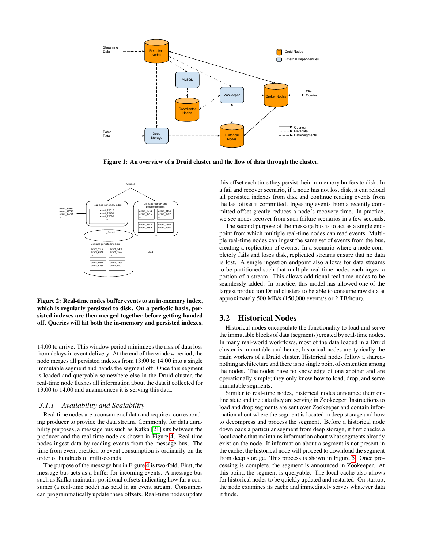

<span id="page-2-0"></span>**Figure 1: An overview of a Druid cluster and the flow of data through the cluster.**



<span id="page-2-1"></span>**Figure 2: Real-time nodes buffer events to an in-memory index, which is regularly persisted to disk. On a periodic basis, persisted indexes are then merged together before getting handed off. Queries will hit both the in-memory and persisted indexes.**

14:00 to arrive. This window period minimizes the risk of data loss from delays in event delivery. At the end of the window period, the node merges all persisted indexes from 13:00 to 14:00 into a single immutable segment and hands the segment off. Once this segment is loaded and queryable somewhere else in the Druid cluster, the real-time node flushes all information about the data it collected for 13:00 to 14:00 and unannounces it is serving this data.

### *3.1.1 Availability and Scalability*

Real-time nodes are a consumer of data and require a corresponding producer to provide the data stream. Commonly, for data durability purposes, a message bus such as Kafka [\[21\]](#page-10-9) sits between the producer and the real-time node as shown in Figure [4.](#page-3-1) Real-time nodes ingest data by reading events from the message bus. The time from event creation to event consumption is ordinarily on the order of hundreds of milliseconds.

The purpose of the message bus in Figure [4](#page-3-1) is two-fold. First, the message bus acts as a buffer for incoming events. A message bus such as Kafka maintains positional offsets indicating how far a consumer (a real-time node) has read in an event stream. Consumers can programmatically update these offsets. Real-time nodes update this offset each time they persist their in-memory buffers to disk. In a fail and recover scenario, if a node has not lost disk, it can reload all persisted indexes from disk and continue reading events from the last offset it committed. Ingesting events from a recently committed offset greatly reduces a node's recovery time. In practice, we see nodes recover from such failure scenarios in a few seconds.

The second purpose of the message bus is to act as a single endpoint from which multiple real-time nodes can read events. Multiple real-time nodes can ingest the same set of events from the bus, creating a replication of events. In a scenario where a node completely fails and loses disk, replicated streams ensure that no data is lost. A single ingestion endpoint also allows for data streams to be partitioned such that multiple real-time nodes each ingest a portion of a stream. This allows additional real-time nodes to be seamlessly added. In practice, this model has allowed one of the largest production Druid clusters to be able to consume raw data at approximately 500 MB/s (150,000 events/s or 2 TB/hour).

### 3.2 Historical Nodes

Historical nodes encapsulate the functionality to load and serve the immutable blocks of data (segments) created by real-time nodes. In many real-world workflows, most of the data loaded in a Druid cluster is immutable and hence, historical nodes are typically the main workers of a Druid cluster. Historical nodes follow a sharednothing architecture and there is no single point of contention among the nodes. The nodes have no knowledge of one another and are operationally simple; they only know how to load, drop, and serve immutable segments.

Similar to real-time nodes, historical nodes announce their online state and the data they are serving in Zookeeper. Instructions to load and drop segments are sent over Zookeeper and contain information about where the segment is located in deep storage and how to decompress and process the segment. Before a historical node downloads a particular segment from deep storage, it first checks a local cache that maintains information about what segments already exist on the node. If information about a segment is not present in the cache, the historical node will proceed to download the segment from deep storage. This process is shown in Figure [5.](#page-3-2) Once processing is complete, the segment is announced in Zookeeper. At this point, the segment is queryable. The local cache also allows for historical nodes to be quickly updated and restarted. On startup, the node examines its cache and immediately serves whatever data it finds.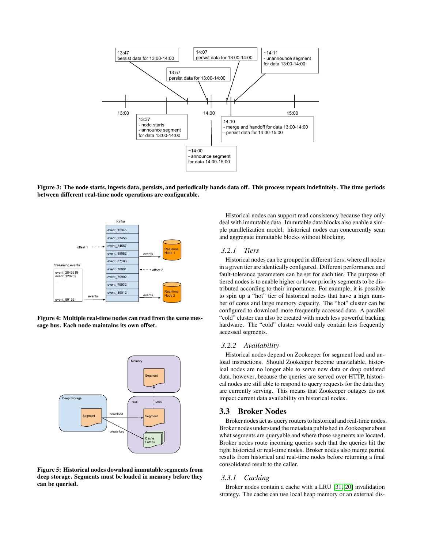

<span id="page-3-0"></span>**Figure 3: The node starts, ingests data, persists, and periodically hands data off. This process repeats indefinitely. The time periods between different real-time node operations are configurable.**



<span id="page-3-1"></span>**Figure 4: Multiple real-time nodes can read from the same message bus. Each node maintains its own offset.**



<span id="page-3-2"></span>**Figure 5: Historical nodes download immutable segments from deep storage. Segments must be loaded in memory before they can be queried.**

Historical nodes can support read consistency because they only deal with immutable data. Immutable data blocks also enable a simple parallelization model: historical nodes can concurrently scan and aggregate immutable blocks without blocking.

#### *3.2.1 Tiers*

Historical nodes can be grouped in different tiers, where all nodes in a given tier are identically configured. Different performance and fault-tolerance parameters can be set for each tier. The purpose of tiered nodes is to enable higher or lower priority segments to be distributed according to their importance. For example, it is possible to spin up a "hot" tier of historical nodes that have a high number of cores and large memory capacity. The "hot" cluster can be configured to download more frequently accessed data. A parallel "cold" cluster can also be created with much less powerful backing hardware. The "cold" cluster would only contain less frequently accessed segments.

#### *3.2.2 Availability*

Historical nodes depend on Zookeeper for segment load and unload instructions. Should Zookeeper become unavailable, historical nodes are no longer able to serve new data or drop outdated data, however, because the queries are served over HTTP, historical nodes are still able to respond to query requests for the data they are currently serving. This means that Zookeeper outages do not impact current data availability on historical nodes.

### 3.3 Broker Nodes

Broker nodes act as query routers to historical and real-time nodes. Broker nodes understand the metadata published in Zookeeper about what segments are queryable and where those segments are located. Broker nodes route incoming queries such that the queries hit the right historical or real-time nodes. Broker nodes also merge partial results from historical and real-time nodes before returning a final consolidated result to the caller.

#### *3.3.1 Caching*

Broker nodes contain a cache with a LRU [\[31,](#page-11-10) [20\]](#page-10-10) invalidation strategy. The cache can use local heap memory or an external dis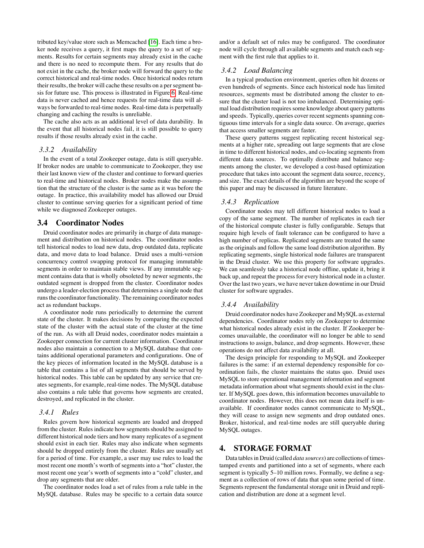tributed key/value store such as Memcached [\[16\]](#page-10-11). Each time a broker node receives a query, it first maps the query to a set of segments. Results for certain segments may already exist in the cache and there is no need to recompute them. For any results that do not exist in the cache, the broker node will forward the query to the correct historical and real-time nodes. Once historical nodes return their results, the broker will cache these results on a per segment basis for future use. This process is illustrated in Figure [6.](#page-5-0) Real-time data is never cached and hence requests for real-time data will always be forwarded to real-time nodes. Real-time data is perpetually changing and caching the results is unreliable.

The cache also acts as an additional level of data durability. In the event that all historical nodes fail, it is still possible to query results if those results already exist in the cache.

#### *3.3.2 Availability*

In the event of a total Zookeeper outage, data is still queryable. If broker nodes are unable to communicate to Zookeeper, they use their last known view of the cluster and continue to forward queries to real-time and historical nodes. Broker nodes make the assumption that the structure of the cluster is the same as it was before the outage. In practice, this availability model has allowed our Druid cluster to continue serving queries for a significant period of time while we diagnosed Zookeeper outages.

### 3.4 Coordinator Nodes

Druid coordinator nodes are primarily in charge of data management and distribution on historical nodes. The coordinator nodes tell historical nodes to load new data, drop outdated data, replicate data, and move data to load balance. Druid uses a multi-version concurrency control swapping protocol for managing immutable segments in order to maintain stable views. If any immutable segment contains data that is wholly obsoleted by newer segments, the outdated segment is dropped from the cluster. Coordinator nodes undergo a leader-election process that determines a single node that runs the coordinator functionality. The remaining coordinator nodes act as redundant backups.

A coordinator node runs periodically to determine the current state of the cluster. It makes decisions by comparing the expected state of the cluster with the actual state of the cluster at the time of the run. As with all Druid nodes, coordinator nodes maintain a Zookeeper connection for current cluster information. Coordinator nodes also maintain a connection to a MySQL database that contains additional operational parameters and configurations. One of the key pieces of information located in the MySQL database is a table that contains a list of all segments that should be served by historical nodes. This table can be updated by any service that creates segments, for example, real-time nodes. The MySQL database also contains a rule table that governs how segments are created, destroyed, and replicated in the cluster.

#### *3.4.1 Rules*

Rules govern how historical segments are loaded and dropped from the cluster. Rules indicate how segments should be assigned to different historical node tiers and how many replicates of a segment should exist in each tier. Rules may also indicate when segments should be dropped entirely from the cluster. Rules are usually set for a period of time. For example, a user may use rules to load the most recent one month's worth of segments into a "hot" cluster, the most recent one year's worth of segments into a "cold" cluster, and drop any segments that are older.

The coordinator nodes load a set of rules from a rule table in the MySQL database. Rules may be specific to a certain data source and/or a default set of rules may be configured. The coordinator node will cycle through all available segments and match each segment with the first rule that applies to it.

### *3.4.2 Load Balancing*

In a typical production environment, queries often hit dozens or even hundreds of segments. Since each historical node has limited resources, segments must be distributed among the cluster to ensure that the cluster load is not too imbalanced. Determining optimal load distribution requires some knowledge about query patterns and speeds. Typically, queries cover recent segments spanning contiguous time intervals for a single data source. On average, queries that access smaller segments are faster.

These query patterns suggest replicating recent historical segments at a higher rate, spreading out large segments that are close in time to different historical nodes, and co-locating segments from different data sources. To optimally distribute and balance segments among the cluster, we developed a cost-based optimization procedure that takes into account the segment data source, recency, and size. The exact details of the algorithm are beyond the scope of this paper and may be discussed in future literature.

#### *3.4.3 Replication*

Coordinator nodes may tell different historical nodes to load a copy of the same segment. The number of replicates in each tier of the historical compute cluster is fully configurable. Setups that require high levels of fault tolerance can be configured to have a high number of replicas. Replicated segments are treated the same as the originals and follow the same load distribution algorithm. By replicating segments, single historical node failures are transparent in the Druid cluster. We use this property for software upgrades. We can seamlessly take a historical node offline, update it, bring it back up, and repeat the process for every historical node in a cluster. Over the last two years, we have never taken downtime in our Druid cluster for software upgrades.

#### *3.4.4 Availability*

Druid coordinator nodes have Zookeeper and MySQL as external dependencies. Coordinator nodes rely on Zookeeper to determine what historical nodes already exist in the cluster. If Zookeeper becomes unavailable, the coordinator will no longer be able to send instructions to assign, balance, and drop segments. However, these operations do not affect data availability at all.

The design principle for responding to MySQL and Zookeeper failures is the same: if an external dependency responsible for coordination fails, the cluster maintains the status quo. Druid uses MySQL to store operational management information and segment metadata information about what segments should exist in the cluster. If MySQL goes down, this information becomes unavailable to coordinator nodes. However, this does not mean data itself is unavailable. If coordinator nodes cannot communicate to MySQL, they will cease to assign new segments and drop outdated ones. Broker, historical, and real-time nodes are still queryable during MySQL outages.

### <span id="page-4-0"></span>4. STORAGE FORMAT

Data tables in Druid (called *data sources*) are collections of timestamped events and partitioned into a set of segments, where each segment is typically 5–10 million rows. Formally, we define a segment as a collection of rows of data that span some period of time. Segments represent the fundamental storage unit in Druid and replication and distribution are done at a segment level.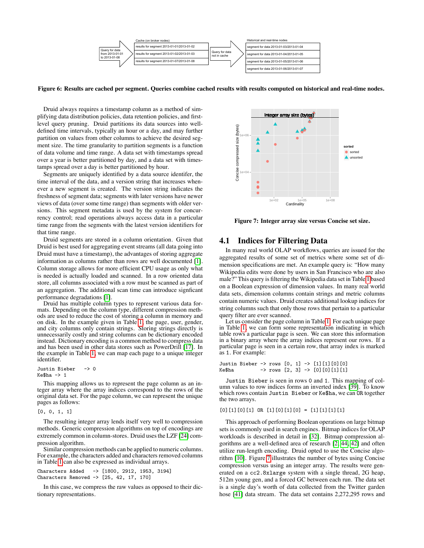

<span id="page-5-0"></span>**Figure 6: Results are cached per segment. Queries combine cached results with results computed on historical and real-time nodes.**

Druid always requires a timestamp column as a method of simplifying data distribution policies, data retention policies, and firstlevel query pruning. Druid partitions its data sources into welldefined time intervals, typically an hour or a day, and may further partition on values from other columns to achieve the desired segment size. The time granularity to partition segments is a function of data volume and time range. A data set with timestamps spread over a year is better partitioned by day, and a data set with timestamps spread over a day is better partitioned by hour.

Segments are uniquely identified by a data source identifer, the time interval of the data, and a version string that increases whenever a new segment is created. The version string indicates the freshness of segment data; segments with later versions have newer views of data (over some time range) than segments with older versions. This segment metadata is used by the system for concurrency control; read operations always access data in a particular time range from the segments with the latest version identifiers for that time range.

Druid segments are stored in a column orientation. Given that Druid is best used for aggregating event streams (all data going into Druid must have a timestamp), the advantages of storing aggregate information as columns rather than rows are well documented [\[1\]](#page-10-12). Column storage allows for more efficient CPU usage as only what is needed is actually loaded and scanned. In a row oriented data store, all columns associated with a row must be scanned as part of an aggregation. The additional scan time can introduce signficant performance degradations [\[1\]](#page-10-12).

Druid has multiple column types to represent various data formats. Depending on the column type, different compression methods are used to reduce the cost of storing a column in memory and on disk. In the example given in Table [1,](#page-1-1) the page, user, gender, and city columns only contain strings. Storing strings directly is unnecessarily costly and string columns can be dictionary encoded instead. Dictionary encoding is a common method to compress data and has been used in other data stores such as PowerDrill [\[17\]](#page-10-13). In the example in Table [1,](#page-1-1) we can map each page to a unique integer identifier.

Justin Bieber -> 0  $Kefha \rightarrow 1$ 

This mapping allows us to represent the page column as an integer array where the array indices correspond to the rows of the original data set. For the page column, we can represent the unique pages as follows:

```
[0, 0, 1, 1]
```
The resulting integer array lends itself very well to compression methods. Generic compression algorithms on top of encodings are extremely common in column-stores. Druid uses the LZF [\[24\]](#page-11-11) compression algorithm.

Similar compression methods can be applied to numeric columns. For example, the characters added and characters removed columns in Table [1](#page-1-1) can also be expressed as individual arrays.

```
Characters Added -> [1800, 2912, 1953, 3194]
Characters Removed -> [25, 42, 17, 170]
```
In this case, we compress the raw values as opposed to their dictionary representations.



<span id="page-5-1"></span>**Figure 7: Integer array size versus Concise set size.**

# 4.1 Indices for Filtering Data

In many real world OLAP workflows, queries are issued for the aggregated results of some set of metrics where some set of dimension specifications are met. An example query is: "How many Wikipedia edits were done by users in San Francisco who are also male?" This query is filtering the Wikipedia data set in Table [1](#page-1-1) based on a Boolean expression of dimension values. In many real world data sets, dimension columns contain strings and metric columns contain numeric values. Druid creates additional lookup indices for string columns such that only those rows that pertain to a particular query filter are ever scanned.

Let us consider the page column in Table [1.](#page-1-1) For each unique page in Table [1,](#page-1-1) we can form some representation indicating in which table rows a particular page is seen. We can store this information in a binary array where the array indices represent our rows. If a particular page is seen in a certain row, that array index is marked as 1. For example:

Justin Bieber  $\rightarrow$  rows  $[0, 1]$   $\rightarrow$   $[1]$  $[0]$  $[0]$ Ke\$ha -> rows  $[2, 3]$  ->  $[0] [0] [1] [1]$ 

Justin Bieber is seen in rows 0 and 1. This mapping of column values to row indices forms an inverted index [\[39\]](#page-11-12). To know which rows contain Justin Bieber or Ke\$ha, we can OR together the two arrays.

 $[0]$  $[1]$  $[0]$  $[1]$   $[0R$  $[1]$  $[0]$  $[1]$  $[0]$  =  $[1]$  $[1]$  $[1]$  $[1]$ 

This approach of performing Boolean operations on large bitmap sets is commonly used in search engines. Bitmap indices for OLAP workloads is described in detail in [\[32\]](#page-11-13). Bitmap compression algorithms are a well-defined area of research [\[2,](#page-10-14) [44,](#page-11-14) [42\]](#page-11-15) and often utilize run-length encoding. Druid opted to use the Concise algorithm [\[10\]](#page-10-15). Figure [7](#page-5-1) illustrates the number of bytes using Concise compression versus using an integer array. The results were generated on a cc2.8xlarge system with a single thread, 2G heap, 512m young gen, and a forced GC between each run. The data set is a single day's worth of data collected from the Twitter garden hose [\[41\]](#page-11-16) data stream. The data set contains 2,272,295 rows and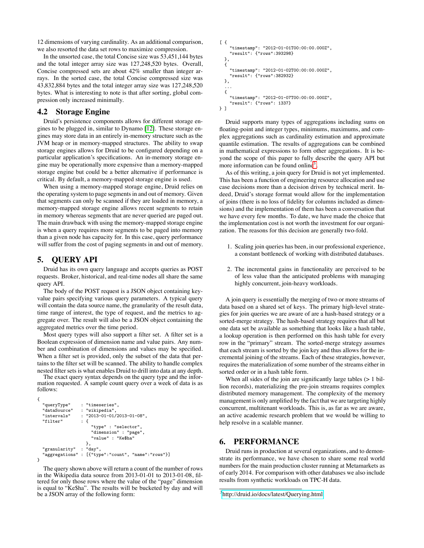12 dimensions of varying cardinality. As an additional comparison, we also resorted the data set rows to maximize compression.

In the unsorted case, the total Concise size was 53,451,144 bytes and the total integer array size was 127,248,520 bytes. Overall, Concise compressed sets are about 42% smaller than integer arrays. In the sorted case, the total Concise compressed size was 43,832,884 bytes and the total integer array size was 127,248,520 bytes. What is interesting to note is that after sorting, global compression only increased minimally.

### 4.2 Storage Engine

Druid's persistence components allows for different storage engines to be plugged in, similar to Dynamo [\[12\]](#page-10-5). These storage engines may store data in an entirely in-memory structure such as the JVM heap or in memory-mapped structures. The ability to swap storage engines allows for Druid to be configured depending on a particular application's specifications. An in-memory storage engine may be operationally more expensive than a memory-mapped storage engine but could be a better alternative if performance is critical. By default, a memory-mapped storage engine is used.

When using a memory-mapped storage engine, Druid relies on the operating system to page segments in and out of memory. Given that segments can only be scanned if they are loaded in memory, a memory-mapped storage engine allows recent segments to retain in memory whereas segments that are never queried are paged out. The main drawback with using the memory-mapped storage engine is when a query requires more segments to be paged into memory than a given node has capacity for. In this case, query performance will suffer from the cost of paging segments in and out of memory.

# <span id="page-6-0"></span>5. QUERY API

Druid has its own query language and accepts queries as POST requests. Broker, historical, and real-time nodes all share the same query API.

The body of the POST request is a JSON object containing keyvalue pairs specifying various query parameters. A typical query will contain the data source name, the granularity of the result data, time range of interest, the type of request, and the metrics to aggregate over. The result will also be a JSON object containing the aggregated metrics over the time period.

Most query types will also support a filter set. A filter set is a Boolean expression of dimension name and value pairs. Any number and combination of dimensions and values may be specified. When a filter set is provided, only the subset of the data that pertains to the filter set will be scanned. The ability to handle complex nested filter sets is what enables Druid to drill into data at any depth.

The exact query syntax depends on the query type and the information requested. A sample count query over a week of data is as follows:

```
{
  "queryType" : "timeseries",
  "dataSource" : "wikipedia"<br>"intervals" : "2013-01-01
                     : "2013-01-01/2013-01-08",<br>: \{"filter"
                          "type" : "selector",
                         "dimension" : "page",
                         "value" : "Ke$ha"
                       },
   "granularity" : "day",
   aggregations" : [{"type":"count", "name":"rows"}]
\mathbf{r}
```
The query shown above will return a count of the number of rows in the Wikipedia data source from 2013-01-01 to 2013-01-08, filtered for only those rows where the value of the "page" dimension is equal to "Ke\$ha". The results will be bucketed by day and will be a JSON array of the following form:

```
\lceil {
     "timestamp": "2012-01-01T00:00:00.000Z",
     "result": {"rows":393298}
 },
  {
    "timestamp": "2012-01-02T00:00:00.000Z",
    "result": {"rows":382932}
 },
  ...
  {
    "timestamp": "2012-01-07T00:00:00.000Z",
    "result": {"rows": 1337}
} ]
```
Druid supports many types of aggregations including sums on floating-point and integer types, minimums, maximums, and complex aggregations such as cardinality estimation and approximate quantile estimation. The results of aggregations can be combined in mathematical expressions to form other aggregations. It is beyond the scope of this paper to fully describe the query API but more information can be found online<sup>[3](#page-6-2)</sup>.

As of this writing, a join query for Druid is not yet implemented. This has been a function of engineering resource allocation and use case decisions more than a decision driven by technical merit. Indeed, Druid's storage format would allow for the implementation of joins (there is no loss of fidelity for columns included as dimensions) and the implementation of them has been a conversation that we have every few months. To date, we have made the choice that the implementation cost is not worth the investment for our organization. The reasons for this decision are generally two-fold.

- 1. Scaling join queries has been, in our professional experience, a constant bottleneck of working with distributed databases.
- 2. The incremental gains in functionality are perceived to be of less value than the anticipated problems with managing highly concurrent, join-heavy workloads.

A join query is essentially the merging of two or more streams of data based on a shared set of keys. The primary high-level strategies for join queries we are aware of are a hash-based strategy or a sorted-merge strategy. The hash-based strategy requires that all but one data set be available as something that looks like a hash table, a lookup operation is then performed on this hash table for every row in the "primary" stream. The sorted-merge strategy assumes that each stream is sorted by the join key and thus allows for the incremental joining of the streams. Each of these strategies, however, requires the materialization of some number of the streams either in sorted order or in a hash table form.

When all sides of the join are significantly large tables  $(> 1$  billion records), materializing the pre-join streams requires complex distributed memory management. The complexity of the memory management is only amplified by the fact that we are targeting highly concurrent, multitenant workloads. This is, as far as we are aware, an active academic research problem that we would be willing to help resolve in a scalable manner.

# <span id="page-6-1"></span>6. PERFORMANCE

Druid runs in production at several organizations, and to demonstrate its performance, we have chosen to share some real world numbers for the main production cluster running at Metamarkets as of early 2014. For comparison with other databases we also include results from synthetic workloads on TPC-H data.

<span id="page-6-2"></span><sup>&</sup>lt;sup>3</sup><http://druid.io/docs/latest/Querying.html>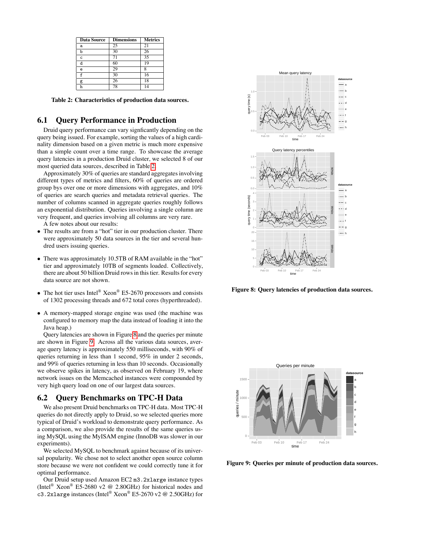| <b>Data Source</b> | <b>Dimensions</b> | <b>Metrics</b> |
|--------------------|-------------------|----------------|
| a                  | 25                | 21             |
| b                  | 30                | 26             |
| C.                 |                   | 35             |
| d                  | 60                | 19             |
| ė                  | 29                |                |
| $\mathbf f$        | 30                | 16             |
| g                  | 26                | 18             |
|                    | 78                |                |

<span id="page-7-0"></span>**Table 2: Characteristics of production data sources.**

### 6.1 Query Performance in Production

Druid query performance can vary signficantly depending on the query being issued. For example, sorting the values of a high cardinality dimension based on a given metric is much more expensive than a simple count over a time range. To showcase the average query latencies in a production Druid cluster, we selected 8 of our most queried data sources, described in Table [2.](#page-7-0)

Approximately 30% of queries are standard aggregates involving different types of metrics and filters, 60% of queries are ordered group bys over one or more dimensions with aggregates, and 10% of queries are search queries and metadata retrieval queries. The number of columns scanned in aggregate queries roughly follows an exponential distribution. Queries involving a single column are very frequent, and queries involving all columns are very rare.

A few notes about our results:

- The results are from a "hot" tier in our production cluster. There were approximately 50 data sources in the tier and several hundred users issuing queries.
- There was approximately 10.5TB of RAM available in the "hot" tier and approximately 10TB of segments loaded. Collectively, there are about 50 billion Druid rows in this tier. Results for every data source are not shown.
- The hot tier uses Intel® Xeon® E5-2670 processors and consists of 1302 processing threads and 672 total cores (hyperthreaded).
- A memory-mapped storage engine was used (the machine was configured to memory map the data instead of loading it into the Java heap.)

Query latencies are shown in Figure [8](#page-7-1) and the queries per minute are shown in Figure [9.](#page-7-2) Across all the various data sources, average query latency is approximately 550 milliseconds, with 90% of queries returning in less than 1 second, 95% in under 2 seconds, and 99% of queries returning in less than 10 seconds. Occasionally we observe spikes in latency, as observed on February 19, where network issues on the Memcached instances were compounded by very high query load on one of our largest data sources.

### 6.2 Query Benchmarks on TPC-H Data

We also present Druid benchmarks on TPC-H data. Most TPC-H queries do not directly apply to Druid, so we selected queries more typical of Druid's workload to demonstrate query performance. As a comparison, we also provide the results of the same queries using MySQL using the MyISAM engine (InnoDB was slower in our experiments).

We selected MySQL to benchmark against because of its universal popularity. We chose not to select another open source column store because we were not confident we could correctly tune it for optimal performance.

Our Druid setup used Amazon EC2 m3.2xlarge instance types (Intel® Xeon® E5-2680 v2 @ 2.80GHz) for historical nodes and c3.2xlarge instances (Intel® Xeon® E5-2670 v2 @ 2.50GHz) for



<span id="page-7-1"></span>**Figure 8: Query latencies of production data sources.**



<span id="page-7-2"></span>**Figure 9: Queries per minute of production data sources.**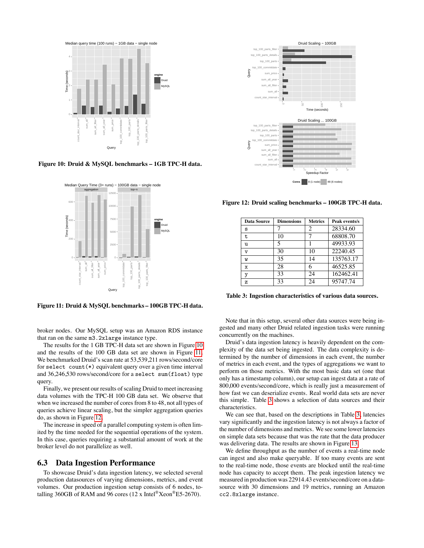

**Figure 10: Druid & MySQL benchmarks – 1GB TPC-H data.**

<span id="page-8-0"></span>

<span id="page-8-1"></span>**Figure 11: Druid & MySQL benchmarks – 100GB TPC-H data.**

broker nodes. Our MySQL setup was an Amazon RDS instance that ran on the same m3.2xlarge instance type.

The results for the 1 GB TPC-H data set are shown in Figure [10](#page-8-0) and the results of the 100 GB data set are shown in Figure [11.](#page-8-1) We benchmarked Druid's scan rate at 53,539,211 rows/second/core for select count(\*) equivalent query over a given time interval and 36,246,530 rows/second/core for a select sum(float) type query.

Finally, we present our results of scaling Druid to meet increasing data volumes with the TPC-H 100 GB data set. We observe that when we increased the number of cores from 8 to 48, not all types of queries achieve linear scaling, but the simpler aggregation queries do, as shown in Figure [12.](#page-8-2)

The increase in speed of a parallel computing system is often limited by the time needed for the sequential operations of the system. In this case, queries requiring a substantial amount of work at the broker level do not parallelize as well.

#### 6.3 Data Ingestion Performance

To showcase Druid's data ingestion latency, we selected several production datasources of varying dimensions, metrics, and event volumes. Our production ingestion setup consists of 6 nodes, totalling 360GB of RAM and 96 cores (12 x Intel<sup>®</sup>Xeon<sup>®</sup>E5-2670).



**Figure 12: Druid scaling benchmarks – 100GB TPC-H data.**

<span id="page-8-2"></span>

| <b>Data Source</b> | <b>Dimensions</b> | <b>Metrics</b> | Peak events/s |
|--------------------|-------------------|----------------|---------------|
| s                  |                   | 2              | 28334.60      |
| t                  | 10                |                | 68808.70      |
| u                  | 5                 |                | 49933.93      |
| $\overline{V}$     | 30                | 10             | 22240.45      |
| W                  | 35                | 14             | 135763.17     |
| X                  | 28                | 6              | 46525.85      |
| у                  | 33                | 24             | 162462.41     |
| z                  | 33                | 24             | 95747.74      |
|                    |                   |                |               |

<span id="page-8-3"></span>**Table 3: Ingestion characteristics of various data sources.**

Note that in this setup, several other data sources were being ingested and many other Druid related ingestion tasks were running concurrently on the machines.

Druid's data ingestion latency is heavily dependent on the complexity of the data set being ingested. The data complexity is determined by the number of dimensions in each event, the number of metrics in each event, and the types of aggregations we want to perform on those metrics. With the most basic data set (one that only has a timestamp column), our setup can ingest data at a rate of 800,000 events/second/core, which is really just a measurement of how fast we can deserialize events. Real world data sets are never this simple. Table [3](#page-8-3) shows a selection of data sources and their characteristics.

We can see that, based on the descriptions in Table [3,](#page-8-3) latencies vary significantly and the ingestion latency is not always a factor of the number of dimensions and metrics. We see some lower latencies on simple data sets because that was the rate that the data producer was delivering data. The results are shown in Figure [13.](#page-9-2)

We define throughput as the number of events a real-time node can ingest and also make queryable. If too many events are sent to the real-time node, those events are blocked until the real-time node has capacity to accept them. The peak ingestion latency we measured in production was 22914.43 events/second/core on a datasource with 30 dimensions and 19 metrics, running an Amazon cc2.8xlarge instance.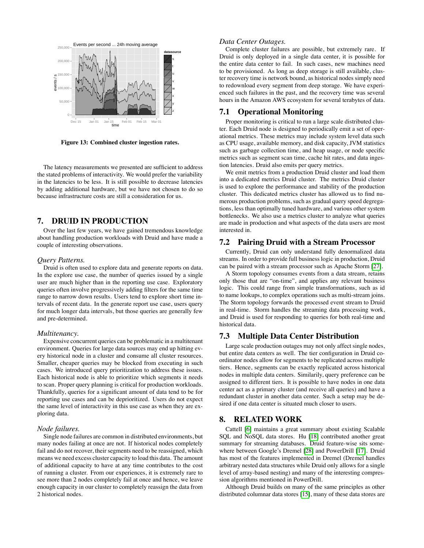

<span id="page-9-2"></span>**Figure 13: Combined cluster ingestion rates.**

The latency measurements we presented are sufficient to address the stated problems of interactivity. We would prefer the variability in the latencies to be less. It is still possible to decrease latencies by adding additional hardware, but we have not chosen to do so because infrastructure costs are still a consideration for us.

# <span id="page-9-0"></span>7. DRUID IN PRODUCTION

Over the last few years, we have gained tremendous knowledge about handling production workloads with Druid and have made a couple of interesting observations.

#### *Query Patterns.*

Druid is often used to explore data and generate reports on data. In the explore use case, the number of queries issued by a single user are much higher than in the reporting use case. Exploratory queries often involve progressively adding filters for the same time range to narrow down results. Users tend to explore short time intervals of recent data. In the generate report use case, users query for much longer data intervals, but those queries are generally few and pre-determined.

#### *Multitenancy.*

Expensive concurrent queries can be problematic in a multitenant environment. Queries for large data sources may end up hitting every historical node in a cluster and consume all cluster resources. Smaller, cheaper queries may be blocked from executing in such cases. We introduced query prioritization to address these issues. Each historical node is able to prioritize which segments it needs to scan. Proper query planning is critical for production workloads. Thankfully, queries for a significant amount of data tend to be for reporting use cases and can be deprioritized. Users do not expect the same level of interactivity in this use case as when they are exploring data.

#### *Node failures.*

Single node failures are common in distributed environments, but many nodes failing at once are not. If historical nodes completely fail and do not recover, their segments need to be reassigned, which means we need excess cluster capacity to load this data. The amount of additional capacity to have at any time contributes to the cost of running a cluster. From our experiences, it is extremely rare to see more than 2 nodes completely fail at once and hence, we leave enough capacity in our cluster to completely reassign the data from 2 historical nodes.

### *Data Center Outages.*

Complete cluster failures are possible, but extremely rare. If Druid is only deployed in a single data center, it is possible for the entire data center to fail. In such cases, new machines need to be provisioned. As long as deep storage is still available, cluster recovery time is network bound, as historical nodes simply need to redownload every segment from deep storage. We have experienced such failures in the past, and the recovery time was several hours in the Amazon AWS ecosystem for several terabytes of data.

### 7.1 Operational Monitoring

Proper monitoring is critical to run a large scale distributed cluster. Each Druid node is designed to periodically emit a set of operational metrics. These metrics may include system level data such as CPU usage, available memory, and disk capacity, JVM statistics such as garbage collection time, and heap usage, or node specific metrics such as segment scan time, cache hit rates, and data ingestion latencies. Druid also emits per query metrics.

We emit metrics from a production Druid cluster and load them into a dedicated metrics Druid cluster. The metrics Druid cluster is used to explore the performance and stability of the production cluster. This dedicated metrics cluster has allowed us to find numerous production problems, such as gradual query speed degregations, less than optimally tuned hardware, and various other system bottlenecks. We also use a metrics cluster to analyze what queries are made in production and what aspects of the data users are most interested in.

### 7.2 Pairing Druid with a Stream Processor

Currently, Druid can only understand fully denormalized data streams. In order to provide full business logic in production, Druid can be paired with a stream processor such as Apache Storm [\[27\]](#page-11-17).

A Storm topology consumes events from a data stream, retains only those that are "on-time", and applies any relevant business logic. This could range from simple transformations, such as id to name lookups, to complex operations such as multi-stream joins. The Storm topology forwards the processed event stream to Druid in real-time. Storm handles the streaming data processing work, and Druid is used for responding to queries for both real-time and historical data.

# 7.3 Multiple Data Center Distribution

Large scale production outages may not only affect single nodes, but entire data centers as well. The tier configuration in Druid coordinator nodes allow for segments to be replicated across multiple tiers. Hence, segments can be exactly replicated across historical nodes in multiple data centers. Similarily, query preference can be assigned to different tiers. It is possible to have nodes in one data center act as a primary cluster (and receive all queries) and have a redundant cluster in another data center. Such a setup may be desired if one data center is situated much closer to users.

### <span id="page-9-1"></span>8. RELATED WORK

Cattell [\[6\]](#page-10-16) maintains a great summary about existing Scalable SQL and NoSQL data stores. Hu [\[18\]](#page-10-17) contributed another great summary for streaming databases. Druid feature-wise sits somewhere between Google's Dremel [\[28\]](#page-11-5) and PowerDrill [\[17\]](#page-10-13). Druid has most of the features implemented in Dremel (Dremel handles arbitrary nested data structures while Druid only allows for a single level of array-based nesting) and many of the interesting compression algorithms mentioned in PowerDrill.

Although Druid builds on many of the same principles as other distributed columnar data stores [\[15\]](#page-10-18), many of these data stores are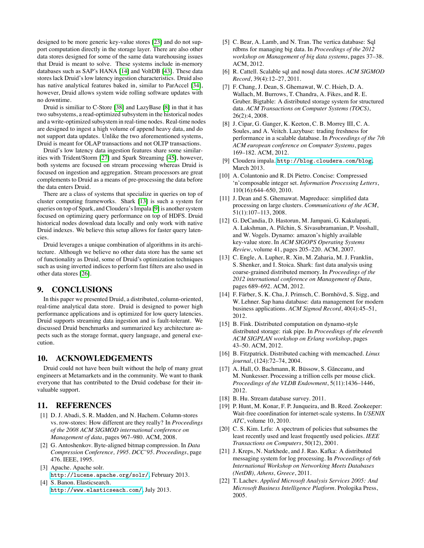designed to be more generic key-value stores [\[23\]](#page-11-6) and do not support computation directly in the storage layer. There are also other data stores designed for some of the same data warehousing issues that Druid is meant to solve. These systems include in-memory databases such as SAP's HANA [\[14\]](#page-10-3) and VoltDB [\[43\]](#page-11-18). These data stores lack Druid's low latency ingestion characteristics. Druid also has native analytical features baked in, similar to ParAccel [\[34\]](#page-11-19), however, Druid allows system wide rolling software updates with no downtime.

Druid is similiar to C-Store [\[38\]](#page-11-20) and LazyBase [\[8\]](#page-10-19) in that it has two subsystems, a read-optimized subsystem in the historical nodes and a write-optimized subsystem in real-time nodes. Real-time nodes are designed to ingest a high volume of append heavy data, and do not support data updates. Unlike the two aforementioned systems, Druid is meant for OLAP transactions and not OLTP transactions.

Druid's low latency data ingestion features share some similarities with Trident/Storm [\[27\]](#page-11-17) and Spark Streaming [\[45\]](#page-11-21), however, both systems are focused on stream processing whereas Druid is focused on ingestion and aggregation. Stream processors are great complements to Druid as a means of pre-processing the data before the data enters Druid.

There are a class of systems that specialize in queries on top of cluster computing frameworks. Shark [\[13\]](#page-10-20) is such a system for queries on top of Spark, and Cloudera's Impala [\[9\]](#page-10-21) is another system focused on optimizing query performance on top of HDFS. Druid historical nodes download data locally and only work with native Druid indexes. We believe this setup allows for faster query latencies.

Druid leverages a unique combination of algorithms in its architecture. Although we believe no other data store has the same set of functionality as Druid, some of Druid's optimization techniques such as using inverted indices to perform fast filters are also used in other data stores [\[26\]](#page-11-22).

# 9. CONCLUSIONS

In this paper we presented Druid, a distributed, column-oriented, real-time analytical data store. Druid is designed to power high performance applications and is optimized for low query latencies. Druid supports streaming data ingestion and is fault-tolerant. We discussed Druid benchmarks and summarized key architecture aspects such as the storage format, query language, and general execution.

### 10. ACKNOWLEDGEMENTS

Druid could not have been built without the help of many great engineers at Metamarkets and in the community. We want to thank everyone that has contributed to the Druid codebase for their invaluable support.

### 11. REFERENCES

- <span id="page-10-12"></span>[1] D. J. Abadi, S. R. Madden, and N. Hachem. Column-stores vs. row-stores: How different are they really? In *Proceedings of the 2008 ACM SIGMOD international conference on Management of data*, pages 967–980. ACM, 2008.
- <span id="page-10-14"></span>[2] G. Antoshenkov. Byte-aligned bitmap compression. In *Data Compression Conference, 1995. DCC'95. Proceedings*, page 476. IEEE, 1995.
- <span id="page-10-6"></span>[3] Apache. Apache solr. <http://lucene.apache.org/solr/>, February 2013.
- <span id="page-10-7"></span>[4] S. Banon. Elasticsearch. <http://www.elasticseach.com/>, July 2013.
- <span id="page-10-0"></span>[5] C. Bear, A. Lamb, and N. Tran. The vertica database: Sql rdbms for managing big data. In *Proceedings of the 2012 workshop on Management of big data systems*, pages 37–38. ACM, 2012.
- <span id="page-10-16"></span>[6] R. Cattell. Scalable sql and nosql data stores. *ACM SIGMOD Record*, 39(4):12–27, 2011.
- <span id="page-10-4"></span>[7] F. Chang, J. Dean, S. Ghemawat, W. C. Hsieh, D. A. Wallach, M. Burrows, T. Chandra, A. Fikes, and R. E. Gruber. Bigtable: A distributed storage system for structured data. *ACM Transactions on Computer Systems (TOCS)*, 26(2):4, 2008.
- <span id="page-10-19"></span>[8] J. Cipar, G. Ganger, K. Keeton, C. B. Morrey III, C. A. Soules, and A. Veitch. Lazybase: trading freshness for performance in a scalable database. In *Proceedings of the 7th ACM european conference on Computer Systems*, pages 169–182. ACM, 2012.
- <span id="page-10-21"></span>[9] Cloudera impala. <http://blog.cloudera.com/blog>, March 2013.
- <span id="page-10-15"></span>[10] A. Colantonio and R. Di Pietro. Concise: Compressed 'n'composable integer set. *Information Processing Letters*, 110(16):644–650, 2010.
- <span id="page-10-1"></span>[11] J. Dean and S. Ghemawat. Mapreduce: simplified data processing on large clusters. *Communications of the ACM*, 51(1):107–113, 2008.
- <span id="page-10-5"></span>[12] G. DeCandia, D. Hastorun, M. Jampani, G. Kakulapati, A. Lakshman, A. Pilchin, S. Sivasubramanian, P. Vosshall, and W. Vogels. Dynamo: amazon's highly available key-value store. In *ACM SIGOPS Operating Systems Review*, volume 41, pages 205–220. ACM, 2007.
- <span id="page-10-20"></span>[13] C. Engle, A. Lupher, R. Xin, M. Zaharia, M. J. Franklin, S. Shenker, and I. Stoica. Shark: fast data analysis using coarse-grained distributed memory. In *Proceedings of the 2012 international conference on Management of Data*, pages 689–692. ACM, 2012.
- <span id="page-10-3"></span>[14] F. Färber, S. K. Cha, J. Primsch, C. Bornhövd, S. Sigg, and W. Lehner. Sap hana database: data management for modern business applications. *ACM Sigmod Record*, 40(4):45–51, 2012.
- <span id="page-10-18"></span>[15] B. Fink. Distributed computation on dynamo-style distributed storage: riak pipe. In *Proceedings of the eleventh ACM SIGPLAN workshop on Erlang workshop*, pages 43–50. ACM, 2012.
- <span id="page-10-11"></span>[16] B. Fitzpatrick. Distributed caching with memcached. *Linux journal*, (124):72–74, 2004.
- <span id="page-10-13"></span>[17] A. Hall, O. Bachmann, R. Büssow, S. Gănceanu, and M. Nunkesser. Processing a trillion cells per mouse click. *Proceedings of the VLDB Endowment*, 5(11):1436–1446, 2012.
- <span id="page-10-17"></span>[18] B. Hu. Stream database survey. 2011.
- <span id="page-10-8"></span>[19] P. Hunt, M. Konar, F. P. Junqueira, and B. Reed. Zookeeper: Wait-free coordination for internet-scale systems. In *USENIX ATC*, volume 10, 2010.
- <span id="page-10-10"></span>[20] C. S. Kim. Lrfu: A spectrum of policies that subsumes the least recently used and least frequently used policies. *IEEE Transactions on Computers*, 50(12), 2001.
- <span id="page-10-9"></span>[21] J. Kreps, N. Narkhede, and J. Rao. Kafka: A distributed messaging system for log processing. In *Proceedings of 6th International Workshop on Networking Meets Databases (NetDB), Athens, Greece*, 2011.
- <span id="page-10-2"></span>[22] T. Lachev. *Applied Microsoft Analysis Services 2005: And Microsoft Business Intelligence Platform*. Prologika Press, 2005.